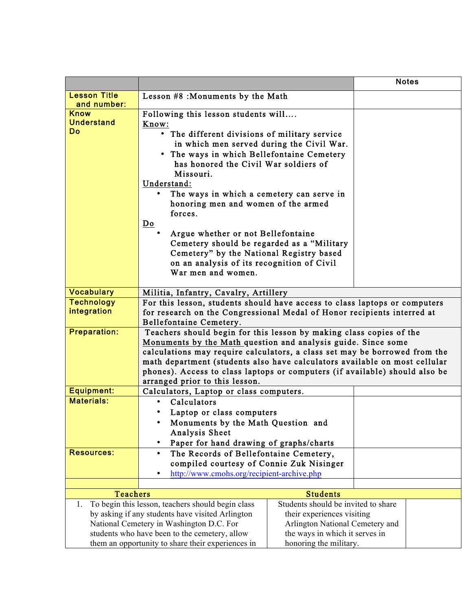|                                                                                              |                                                                                                                                                       |                                                               | <b>Notes</b> |  |
|----------------------------------------------------------------------------------------------|-------------------------------------------------------------------------------------------------------------------------------------------------------|---------------------------------------------------------------|--------------|--|
| <b>Lesson Title</b>                                                                          | Lesson #8: Monuments by the Math                                                                                                                      |                                                               |              |  |
| and number:                                                                                  |                                                                                                                                                       |                                                               |              |  |
| <b>Know</b>                                                                                  | Following this lesson students will                                                                                                                   |                                                               |              |  |
| <b>Understand</b><br>Do                                                                      | Know:                                                                                                                                                 |                                                               |              |  |
|                                                                                              | • The different divisions of military service                                                                                                         |                                                               |              |  |
|                                                                                              | in which men served during the Civil War.                                                                                                             |                                                               |              |  |
|                                                                                              | The ways in which Bellefontaine Cemetery<br>$\bullet$<br>has honored the Civil War soldiers of                                                        |                                                               |              |  |
|                                                                                              | Missouri.                                                                                                                                             |                                                               |              |  |
|                                                                                              | Understand:                                                                                                                                           |                                                               |              |  |
|                                                                                              | The ways in which a cemetery can serve in                                                                                                             |                                                               |              |  |
|                                                                                              | honoring men and women of the armed                                                                                                                   |                                                               |              |  |
|                                                                                              | forces.                                                                                                                                               |                                                               |              |  |
|                                                                                              | $\underline{\mathbf{Do}}$                                                                                                                             |                                                               |              |  |
|                                                                                              | Argue whether or not Bellefontaine                                                                                                                    |                                                               |              |  |
|                                                                                              | Cemetery should be regarded as a "Military                                                                                                            |                                                               |              |  |
|                                                                                              | Cemetery" by the National Registry based                                                                                                              |                                                               |              |  |
|                                                                                              | on an analysis of its recognition of Civil                                                                                                            |                                                               |              |  |
|                                                                                              | War men and women.                                                                                                                                    |                                                               |              |  |
| <b>Vocabulary</b>                                                                            | Militia, Infantry, Cavalry, Artillery                                                                                                                 |                                                               |              |  |
| <b>Technology</b>                                                                            |                                                                                                                                                       |                                                               |              |  |
| integration                                                                                  | For this lesson, students should have access to class laptops or computers<br>for research on the Congressional Medal of Honor recipients interred at |                                                               |              |  |
|                                                                                              | Bellefontaine Cemetery.                                                                                                                               |                                                               |              |  |
| <b>Preparation:</b>                                                                          | Teachers should begin for this lesson by making class copies of the                                                                                   |                                                               |              |  |
|                                                                                              | Monuments by the Math question and analysis guide. Since some                                                                                         |                                                               |              |  |
|                                                                                              | calculations may require calculators, a class set may be borrowed from the                                                                            |                                                               |              |  |
|                                                                                              | math department (students also have calculators available on most cellular                                                                            |                                                               |              |  |
|                                                                                              | phones). Access to class laptops or computers (if available) should also be                                                                           |                                                               |              |  |
| Equipment:                                                                                   | arranged prior to this lesson.<br>Calculators, Laptop or class computers.                                                                             |                                                               |              |  |
| <b>Materials:</b>                                                                            | Calculators                                                                                                                                           |                                                               |              |  |
|                                                                                              | Laptop or class computers                                                                                                                             |                                                               |              |  |
|                                                                                              | Monuments by the Math Question and                                                                                                                    |                                                               |              |  |
|                                                                                              | Analysis Sheet                                                                                                                                        |                                                               |              |  |
|                                                                                              | Paper for hand drawing of graphs/charts                                                                                                               |                                                               |              |  |
| <b>Resources:</b>                                                                            | The Records of Bellefontaine Cemetery,<br>$\bullet$                                                                                                   |                                                               |              |  |
|                                                                                              | compiled courtesy of Connie Zuk Nisinger                                                                                                              |                                                               |              |  |
|                                                                                              | http://www.cmohs.org/recipient-archive.php                                                                                                            |                                                               |              |  |
|                                                                                              |                                                                                                                                                       |                                                               |              |  |
| Teachers                                                                                     |                                                                                                                                                       | <b>Students</b><br>Students should be invited to share        |              |  |
| 1.                                                                                           | To begin this lesson, teachers should begin class                                                                                                     |                                                               |              |  |
| by asking if any students have visited Arlington<br>National Cemetery in Washington D.C. For |                                                                                                                                                       | their experiences visiting<br>Arlington National Cemetery and |              |  |
| students who have been to the cemetery, allow                                                |                                                                                                                                                       | the ways in which it serves in                                |              |  |
| them an opportunity to share their experiences in                                            |                                                                                                                                                       | honoring the military.                                        |              |  |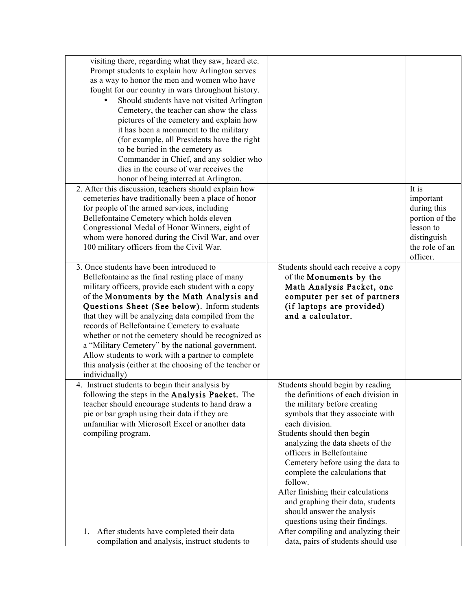| visiting there, regarding what they saw, heard etc.<br>Prompt students to explain how Arlington serves<br>as a way to honor the men and women who have<br>fought for our country in wars throughout history.<br>Should students have not visited Arlington<br>Cemetery, the teacher can show the class<br>pictures of the cemetery and explain how<br>it has been a monument to the military<br>(for example, all Presidents have the right<br>to be buried in the cemetery as<br>Commander in Chief, and any soldier who<br>dies in the course of war receives the<br>honor of being interred at Arlington. |                                                                                                                                                                                                                                                                                                                                                                                                                                                                                            |                                                                                                               |
|--------------------------------------------------------------------------------------------------------------------------------------------------------------------------------------------------------------------------------------------------------------------------------------------------------------------------------------------------------------------------------------------------------------------------------------------------------------------------------------------------------------------------------------------------------------------------------------------------------------|--------------------------------------------------------------------------------------------------------------------------------------------------------------------------------------------------------------------------------------------------------------------------------------------------------------------------------------------------------------------------------------------------------------------------------------------------------------------------------------------|---------------------------------------------------------------------------------------------------------------|
| 2. After this discussion, teachers should explain how<br>cemeteries have traditionally been a place of honor<br>for people of the armed services, including<br>Bellefontaine Cemetery which holds eleven<br>Congressional Medal of Honor Winners, eight of<br>whom were honored during the Civil War, and over<br>100 military officers from the Civil War.                                                                                                                                                                                                                                                  |                                                                                                                                                                                                                                                                                                                                                                                                                                                                                            | It is<br>important<br>during this<br>portion of the<br>lesson to<br>distinguish<br>the role of an<br>officer. |
| 3. Once students have been introduced to<br>Bellefontaine as the final resting place of many<br>military officers, provide each student with a copy<br>of the Monuments by the Math Analysis and<br>Questions Sheet (See below). Inform students<br>that they will be analyzing data compiled from the<br>records of Bellefontaine Cemetery to evaluate<br>whether or not the cemetery should be recognized as<br>a "Military Cemetery" by the national government.<br>Allow students to work with a partner to complete<br>this analysis (either at the choosing of the teacher or<br>individually)         | Students should each receive a copy<br>of the Monuments by the<br>Math Analysis Packet, one<br>computer per set of partners<br>(if laptops are provided)<br>and a calculator.                                                                                                                                                                                                                                                                                                              |                                                                                                               |
| 4. Instruct students to begin their analysis by<br>following the steps in the Analysis Packet. The<br>teacher should encourage students to hand draw a<br>pie or bar graph using their data if they are<br>unfamiliar with Microsoft Excel or another data<br>compiling program.                                                                                                                                                                                                                                                                                                                             | Students should begin by reading<br>the definitions of each division in<br>the military before creating<br>symbols that they associate with<br>each division.<br>Students should then begin<br>analyzing the data sheets of the<br>officers in Bellefontaine<br>Cemetery before using the data to<br>complete the calculations that<br>follow.<br>After finishing their calculations<br>and graphing their data, students<br>should answer the analysis<br>questions using their findings. |                                                                                                               |
| After students have completed their data<br>1.<br>compilation and analysis, instruct students to                                                                                                                                                                                                                                                                                                                                                                                                                                                                                                             | After compiling and analyzing their<br>data, pairs of students should use                                                                                                                                                                                                                                                                                                                                                                                                                  |                                                                                                               |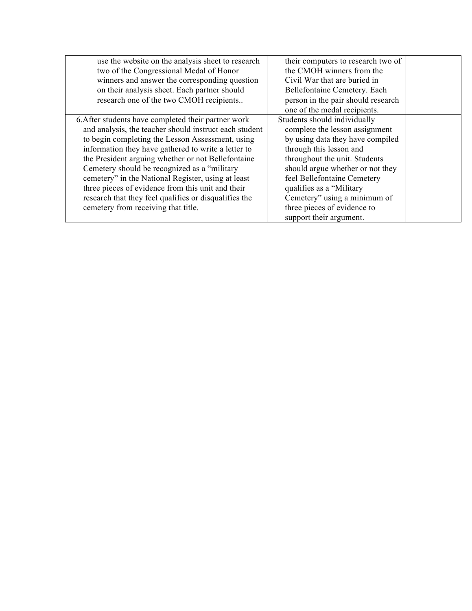| use the website on the analysis sheet to research      | their computers to research two of |  |
|--------------------------------------------------------|------------------------------------|--|
| two of the Congressional Medal of Honor                | the CMOH winners from the          |  |
| winners and answer the corresponding question          | Civil War that are buried in       |  |
| on their analysis sheet. Each partner should           | Bellefontaine Cemetery. Each       |  |
| research one of the two CMOH recipients                | person in the pair should research |  |
|                                                        | one of the medal recipients.       |  |
| 6. After students have completed their partner work    | Students should individually       |  |
| and analysis, the teacher should instruct each student | complete the lesson assignment     |  |
| to begin completing the Lesson Assessment, using       | by using data they have compiled   |  |
| information they have gathered to write a letter to    | through this lesson and            |  |
| the President arguing whether or not Bellefontaine     | throughout the unit. Students      |  |
| Cemetery should be recognized as a "military"          | should argue whether or not they   |  |
| cemetery" in the National Register, using at least     | feel Bellefontaine Cemetery        |  |
| three pieces of evidence from this unit and their      | qualifies as a "Military"          |  |
| research that they feel qualifies or disqualifies the  | Cemetery" using a minimum of       |  |
| cemetery from receiving that title.                    | three pieces of evidence to        |  |
|                                                        | support their argument.            |  |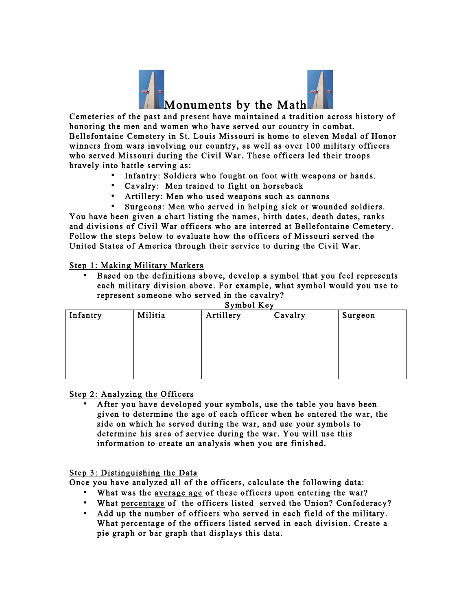

**CEMENT CEMENT CEMENT CEMENT CENTER CEMETER CEMETER CEMETER CEMETER CEMETER CEMETER CEMETER CEMETER CEMETER CEMETER CEMETER CEMETER CEMETER CEMETER CEMETER CEMETER CHANGE CEMETER CHANGE CHANGE CHANGE CHANGE CHANGE CHANGE C** honoring the men and women who have served our country in combat. Bellefontaine Cemetery in St. Louis Missouri is home to eleven Medal of Honor winners from wars involving our country, as well as over 100 military officers who served Missouri during the Civil War. These officers led their troops bravely into battle serving as:

- Infantry: Soldiers who fought on foot with weapons or hands.
- Cavalry: Men trained to fight on horseback
- Artillery: Men who used weapons such as cannons
- Surgeons: Men who served in helping sick or wounded soldiers.

You have been given a chart listing the names, birth dates, death dates, ranks and divisions of Civil War officers who are interred at Bellefontaine Cemetery. Follow the steps below to evaluate how the officers of Missouri served the United States of America through their service to during the Civil War.

## Step 1: Making Military Markers

Based on the definitions above, develop a symbol that you feel represents each military division above. For example, what symbol would you use to represent someone who served in the cavalry?

| Infantry | Militia | Artillery | Cavalry | Surgeon |
|----------|---------|-----------|---------|---------|
|          |         |           |         |         |
|          |         |           |         |         |
|          |         |           |         |         |
|          |         |           |         |         |
|          |         |           |         |         |
|          |         |           |         |         |

## Step 2: Analyzing the Officers

After you have developed your symbols, use the table you have been given to determine the age of each officer when he entered the war, the side on which he served during the war, and use your symbols to determine his area of service during the war. You will use this information to create an analysis when you are finished.

## Step 3: Distinguishing the Data

Once you have analyzed all of the officers, calculate the following data:

- What was the average age of these officers upon entering the war?
- What percentage of the officers listed served the Union? Confederacy?
- Add up the number of officers who served in each field of the military. What percentage of the officers listed served in each division. Create a pie graph or bar graph that displays this data.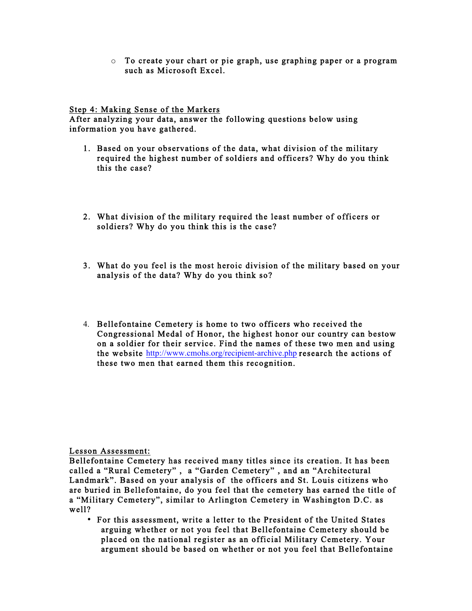o To create your chart or pie graph, use graphing paper or a program such as Microsoft Excel.

## Step 4: Making Sense of the Markers

After analyzing your data, answer the following questions below using information you have gathered.

- 1. Based on your observations of the data, what division of the military required the highest number of soldiers and officers? Why do you think this the case?
- 2. What division of the military required the least number of officers or soldiers? Why do you think this is the case?
- 3. What do you feel is the most heroic division of the military based on your analysis of the data? Why do you think so?
- 4. Bellefontaine Cemetery is home to two officers who received the Congressional Medal of Honor, the highest honor our country can bestow on a soldier for their service. Find the names of these two men and using the website http://www.cmohs.org/recipient-archive.php research the actions of these two men that earned them this recognition.

Lesson Assessment:

Bellefontaine Cemetery has received many titles since its creation. It has been called a "Rural Cemetery" , a "Garden Cemetery" , and an "Architectural Landmark". Based on your analysis of the officers and St. Louis citizens who are buried in Bellefontaine, do you feel that the cemetery has earned the title of a "Military Cemetery", similar to Arlington Cemetery in Washington D.C. as well?

• For this assessment, write a letter to the President of the United States arguing whether or not you feel that Bellefontaine Cemetery should be placed on the national register as an official Military Cemetery. Your argument should be based on whether or not you feel that Bellefontaine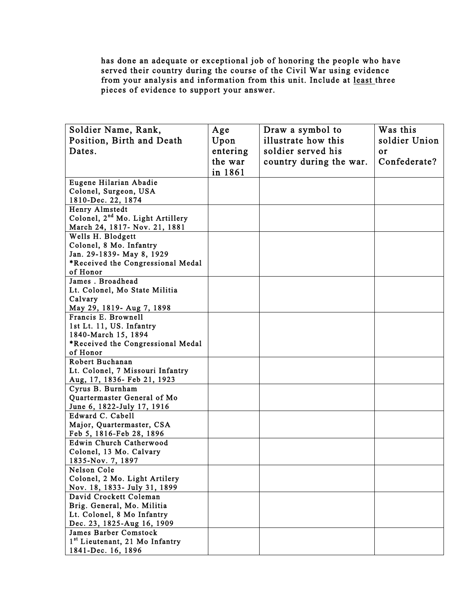has done an adequate or exceptional job of honoring the people who have served their country during the course of the Civil War using evidence from your analysis and information from this unit. Include at least three pieces of evidence to support your answer.

| Soldier Name, Rank,                                            | Age      | Draw a symbol to        | Was this      |
|----------------------------------------------------------------|----------|-------------------------|---------------|
| Position, Birth and Death                                      | Upon     | illustrate how this     | soldier Union |
| Dates.                                                         | entering | soldier served his      | <b>OT</b>     |
|                                                                | the war  | country during the war. | Confederate?  |
|                                                                | in 1861  |                         |               |
| Eugene Hilarian Abadie                                         |          |                         |               |
| Colonel, Surgeon, USA                                          |          |                         |               |
| 1810-Dec. 22, 1874                                             |          |                         |               |
| Henry Almstedt                                                 |          |                         |               |
| Colonel, 2 <sup>nd</sup> Mo. Light Artillery                   |          |                         |               |
| March 24, 1817- Nov. 21, 1881                                  |          |                         |               |
| Wells H. Blodgett                                              |          |                         |               |
| Colonel, 8 Mo. Infantry                                        |          |                         |               |
| Jan. 29-1839- May 8, 1929<br>*Received the Congressional Medal |          |                         |               |
| of Honor                                                       |          |                         |               |
| James . Broadhead                                              |          |                         |               |
| Lt. Colonel, Mo State Militia                                  |          |                         |               |
| Calvary                                                        |          |                         |               |
| May 29, 1819- Aug 7, 1898                                      |          |                         |               |
| Francis E. Brownell                                            |          |                         |               |
| 1st Lt. 11, US. Infantry                                       |          |                         |               |
| 1840-March 15, 1894                                            |          |                         |               |
| *Received the Congressional Medal                              |          |                         |               |
| of Honor                                                       |          |                         |               |
| Robert Buchanan                                                |          |                         |               |
| Lt. Colonel, 7 Missouri Infantry                               |          |                         |               |
| Aug, 17, 1836- Feb 21, 1923                                    |          |                         |               |
| Cyrus B. Burnham                                               |          |                         |               |
| Quartermaster General of Mo                                    |          |                         |               |
| June 6, 1822-July 17, 1916                                     |          |                         |               |
| Edward C. Cabell                                               |          |                         |               |
| Major, Quartermaster, CSA                                      |          |                         |               |
| Feb 5, 1816-Feb 28, 1896                                       |          |                         |               |
| Edwin Church Catherwood                                        |          |                         |               |
| Colonel, 13 Mo. Calvary<br>1835-Nov. 7, 1897                   |          |                         |               |
| Nelson Cole                                                    |          |                         |               |
| Colonel, 2 Mo. Light Artilery                                  |          |                         |               |
| Nov. 18, 1833- July 31, 1899                                   |          |                         |               |
| David Crockett Coleman                                         |          |                         |               |
| Brig. General, Mo. Militia                                     |          |                         |               |
| Lt. Colonel, 8 Mo Infantry                                     |          |                         |               |
| Dec. 23, 1825-Aug 16, 1909                                     |          |                         |               |
| James Barber Comstock                                          |          |                         |               |
| 1 <sup>st</sup> Lieutenant, 21 Mo Infantry                     |          |                         |               |
| 1841-Dec. 16, 1896                                             |          |                         |               |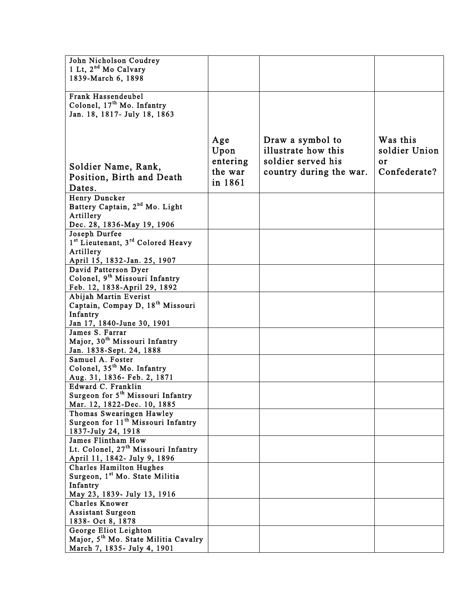| John Nicholson Coudrey<br>1 Lt, 2 <sup>nd</sup> Mo Calvary         |             |                                         |                           |
|--------------------------------------------------------------------|-------------|-----------------------------------------|---------------------------|
| 1839-March 6, 1898                                                 |             |                                         |                           |
| Frank Hassendeubel                                                 |             |                                         |                           |
| Colonel, 17 <sup>th</sup> Mo. Infantry                             |             |                                         |                           |
| Jan. 18, 1817- July 18, 1863                                       |             |                                         |                           |
|                                                                    |             |                                         |                           |
|                                                                    | Age<br>Upon | Draw a symbol to<br>illustrate how this | Was this<br>soldier Union |
|                                                                    | entering    | soldier served his                      | 0r                        |
| Soldier Name, Rank,                                                | the war     | country during the war.                 | Confederate?              |
| Position, Birth and Death                                          | in 1861     |                                         |                           |
| Dates.                                                             |             |                                         |                           |
| Henry Duncker                                                      |             |                                         |                           |
| Battery Captain, 2 <sup>nd</sup> Mo. Light                         |             |                                         |                           |
| Artillery                                                          |             |                                         |                           |
| Dec. 28, 1836-May 19, 1906                                         |             |                                         |                           |
| Joseph Durfee<br>1st Lieutenant, 3rd Colored Heavy                 |             |                                         |                           |
| Artillery                                                          |             |                                         |                           |
| April 15, 1832-Jan. 25, 1907                                       |             |                                         |                           |
| David Patterson Dyer<br>Colonel, 9 <sup>th</sup> Missouri Infantry |             |                                         |                           |
| Feb. 12, 1838-April 29, 1892                                       |             |                                         |                           |
| Abijah Martin Everist                                              |             |                                         |                           |
| Captain, Compay D, 18 <sup>th</sup> Missouri                       |             |                                         |                           |
| Infantry                                                           |             |                                         |                           |
| Jan 17, 1840-June 30, 1901                                         |             |                                         |                           |
| James S. Farrar                                                    |             |                                         |                           |
| Major, 30 <sup>th</sup> Missouri Infantry                          |             |                                         |                           |
| Jan. 1838-Sept. 24, 1888                                           |             |                                         |                           |
| Samuel A. Foster                                                   |             |                                         |                           |
| Colonel, 35 <sup>th</sup> Mo. Infantry                             |             |                                         |                           |
| Aug. 31, 1836- Feb. 2, 1871<br>Edward C. Franklin                  |             |                                         |                           |
| Surgeon for 5 <sup>th</sup> Missouri Infantry                      |             |                                         |                           |
| Mar. 12, 1822-Dec. 10, 1885                                        |             |                                         |                           |
| Thomas Swearingen Hawley                                           |             |                                         |                           |
| Surgeon for 11 <sup>th</sup> Missouri Infantry                     |             |                                         |                           |
| 1837-July 24, 1918                                                 |             |                                         |                           |
| <b>James Flintham How</b>                                          |             |                                         |                           |
| Lt. Colonel, 27 <sup>th</sup> Missouri Infantry                    |             |                                         |                           |
| April 11, 1842- July 9, 1896                                       |             |                                         |                           |
| <b>Charles Hamilton Hughes</b>                                     |             |                                         |                           |
| Surgeon, 1 <sup>st</sup> Mo. State Militia                         |             |                                         |                           |
| Infantry<br>May 23, 1839- July 13, 1916                            |             |                                         |                           |
| Charles Knower                                                     |             |                                         |                           |
| Assistant Surgeon                                                  |             |                                         |                           |
| 1838- Oct 8, 1878                                                  |             |                                         |                           |
| George Eliot Leighton                                              |             |                                         |                           |
| Major, 5 <sup>th</sup> Mo. State Militia Cavalry                   |             |                                         |                           |
| March 7, 1835- July 4, 1901                                        |             |                                         |                           |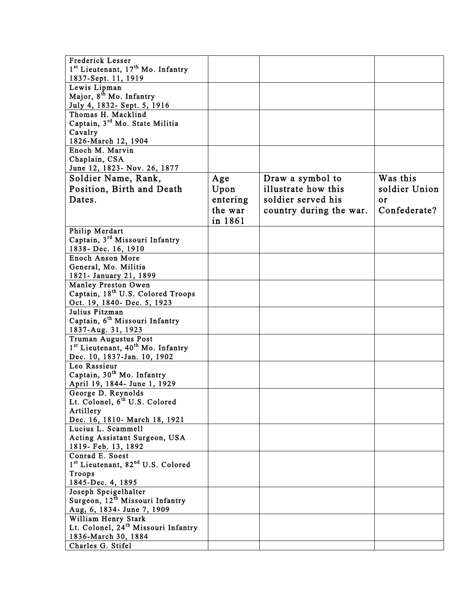| <b>Frederick Lesser</b>                                   |          |                         |               |
|-----------------------------------------------------------|----------|-------------------------|---------------|
| 1 <sup>st</sup> Lieutenant, 17 <sup>th</sup> Mo. Infantry |          |                         |               |
| 1837-Sept. 11, 1919                                       |          |                         |               |
| Lewis Lipman                                              |          |                         |               |
| Major, 8 <sup>th</sup> Mo. Infantry                       |          |                         |               |
| July 4, 1832- Sept. 5, 1916                               |          |                         |               |
| Thomas H. Macklind                                        |          |                         |               |
|                                                           |          |                         |               |
| Captain, 3 <sup>rd</sup> Mo. State Militia                |          |                         |               |
| Cavalry                                                   |          |                         |               |
| 1826-March 12, 1904                                       |          |                         |               |
| Enoch M. Marvin                                           |          |                         |               |
| Chaplain, CSA                                             |          |                         |               |
| June 12, 1823- Nov. 26, 1877                              |          |                         |               |
| Soldier Name, Rank,                                       | Age      | Draw a symbol to        | Was this      |
| Position, Birth and Death                                 |          | illustrate how this     | soldier Union |
|                                                           | Upon     |                         |               |
| Dates.                                                    | entering | soldier served his      | or            |
|                                                           | the war  | country during the war. | Confederate?  |
|                                                           | in 1861  |                         |               |
| Philip Merdart                                            |          |                         |               |
| Captain, 3 <sup>rd</sup> Missouri Infantry                |          |                         |               |
|                                                           |          |                         |               |
| 1838- Dec. 16, 1910                                       |          |                         |               |
| <b>Enoch Anson More</b>                                   |          |                         |               |
| General, Mo. Militia                                      |          |                         |               |
| 1821- January 21, 1899                                    |          |                         |               |
| Manley Preston Owen                                       |          |                         |               |
| Captain, 18 <sup>th</sup> U.S. Colored Troops             |          |                         |               |
| Oct. 19, 1840- Dec. 5, 1923                               |          |                         |               |
| Julius Pitzman                                            |          |                         |               |
| Captain, 6 <sup>th</sup> Missouri Infantry                |          |                         |               |
| 1837-Aug. 31, 1923                                        |          |                         |               |
| <b>Truman Augustus Post</b>                               |          |                         |               |
| 1 <sup>st</sup> Lieutenant, 40 <sup>th</sup> Mo. Infantry |          |                         |               |
|                                                           |          |                         |               |
| Dec. 10, 1837-Jan. 10, 1902                               |          |                         |               |
| Leo Rassieur                                              |          |                         |               |
| Captain, 30 <sup>th</sup> Mo. Infantry                    |          |                         |               |
| April 19, 1844- June 1, 1929                              |          |                         |               |
| George D. Reynolds                                        |          |                         |               |
| Lt. Colonel, 6th U.S. Colored                             |          |                         |               |
| Artillery                                                 |          |                         |               |
| Dec. 16, 1810- March 18, 1921                             |          |                         |               |
| Lucius L. Scammell                                        |          |                         |               |
| Acting Assistant Surgeon, USA                             |          |                         |               |
| 1819- Feb. 13, 1892                                       |          |                         |               |
| Conrad E. Soest                                           |          |                         |               |
| 1st Lieutenant, 82 <sup>nd</sup> U.S. Colored             |          |                         |               |
|                                                           |          |                         |               |
| Troops                                                    |          |                         |               |
| 1845-Dec. 4, 1895                                         |          |                         |               |
| Joseph Speigelhalter                                      |          |                         |               |
| Surgeon, 12 <sup>th</sup> Missouri Infantry               |          |                         |               |
| Aug, 6, 1834- June 7, 1909                                |          |                         |               |
| William Henry Stark                                       |          |                         |               |
| Lt. Colonel, 24 <sup>th</sup> Missouri Infantry           |          |                         |               |
| 1836-March 30, 1884                                       |          |                         |               |
| Charles G. Stifel                                         |          |                         |               |